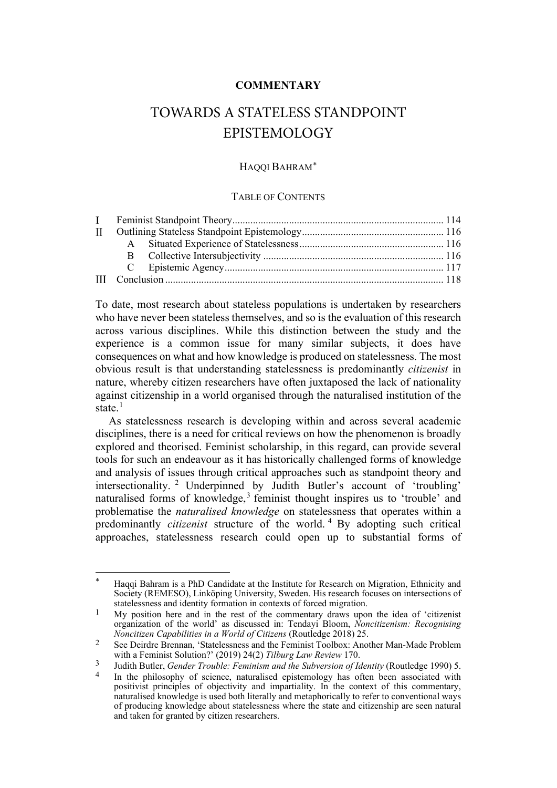## **COMMENTARY**

# TOWARDS A STATELESS STANDPOINT EPISTEMOLOGY

### HAQQI BAHRAM[\\*](#page-0-0)

#### TABLE OF CONTENTS

To date, most research about stateless populations is undertaken by researchers who have never been stateless themselves, and so is the evaluation of this research across various disciplines. While this distinction between the study and the experience is a common issue for many similar subjects, it does have consequences on what and how knowledge is produced on statelessness. The most obvious result is that understanding statelessness is predominantly *citizenist* in nature, whereby citizen researchers have often juxtaposed the lack of nationality against citizenship in a world organised through the naturalised institution of the state $1$ 

As statelessness research is developing within and across several academic disciplines, there is a need for critical reviews on how the phenomenon is broadly explored and theorised. Feminist scholarship, in this regard, can provide several tools for such an endeavour as it has historically challenged forms of knowledge and analysis of issues through critical approaches such as standpoint theory and intersectionality. [2](#page-0-2) Underpinned by Judith Butler's account of 'troubling' naturalised forms of knowledge, [3](#page-0-3) feminist thought inspires us to 'trouble' and problematise the *naturalised knowledge* on statelessness that operates within a predominantly *citizenist* structure of the world. [4](#page-0-4) By adopting such critical approaches, statelessness research could open up to substantial forms of

<span id="page-0-0"></span><sup>\*</sup> Haqqi Bahram is a PhD Candidate at the Institute for Research on Migration, Ethnicity and Society (REMESO), Linköping University, Sweden. His research focuses on intersections of statelessness and identity formation in contexts of forced migration.

<span id="page-0-1"></span><sup>&</sup>lt;sup>1</sup> My position here and in the rest of the commentary draws upon the idea of 'citizenist' organization of the world' as discussed in: Tendayi Bloom, *Noncitizenism: Recognising Noncitizen Capabilities in a World of Citizens* (Routledge 2018) 25.

<span id="page-0-2"></span><sup>&</sup>lt;sup>2</sup> See Deirdre Brennan, 'Statelessness and the Feminist Toolbox: Another Man-Made Problem with a Feminist Solution?' (2019) 24(2) *Tilburg Law Review* 170.

<span id="page-0-4"></span><span id="page-0-3"></span><sup>3</sup> Judith Butler, *Gender Trouble: Feminism and the Subversion of Identity* (Routledge 1990) 5.

In the philosophy of science, naturalised epistemology has often been associated with positivist principles of objectivity and impartiality. In the context of this commentary, naturalised knowledge is used both literally and metaphorically to refer to conventional ways of producing knowledge about statelessness where the state and citizenship are seen natural and taken for granted by citizen researchers.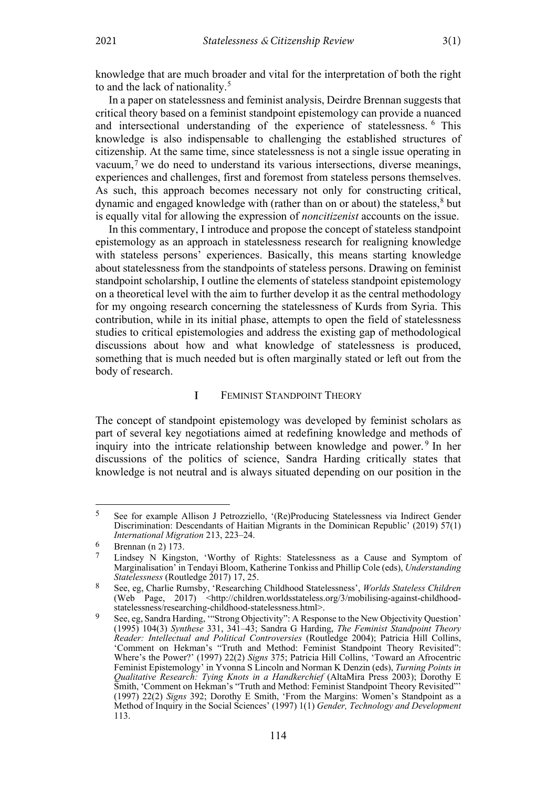knowledge that are much broader and vital for the interpretation of both the right to and the lack of nationality.<sup>[5](#page-1-1)</sup>

In a paper on statelessness and feminist analysis, Deirdre Brennan suggests that critical theory based on a feminist standpoint epistemology can provide a nuanced and intersectional understanding of the experience of statelessness. [6](#page-1-2) This knowledge is also indispensable to challenging the established structures of citizenship. At the same time, since statelessness is not a single issue operating in vacuum,[7](#page-1-3) we do need to understand its various intersections, diverse meanings, experiences and challenges, first and foremost from stateless persons themselves. As such, this approach becomes necessary not only for constructing critical, dynamic and engaged knowledge with (rather than on or about) the stateless, $8$  but is equally vital for allowing the expression of *noncitizenist* accounts on the issue.

In this commentary, I introduce and propose the concept of stateless standpoint epistemology as an approach in statelessness research for realigning knowledge with stateless persons' experiences. Basically, this means starting knowledge about statelessness from the standpoints of stateless persons. Drawing on feminist standpoint scholarship, I outline the elements of stateless standpoint epistemology on a theoretical level with the aim to further develop it as the central methodology for my ongoing research concerning the statelessness of Kurds from Syria. This contribution, while in its initial phase, attempts to open the field of statelessness studies to critical epistemologies and address the existing gap of methodological discussions about how and what knowledge of statelessness is produced, something that is much needed but is often marginally stated or left out from the body of research.

#### <span id="page-1-6"></span> $\mathbf{I}$ FEMINIST STANDPOINT THEORY

<span id="page-1-0"></span>The concept of standpoint epistemology was developed by feminist scholars as part of several key negotiations aimed at redefining knowledge and methods of inquiry into the intricate relationship between knowledge and power.<sup>[9](#page-1-5)</sup> In her discussions of the politics of science, Sandra Harding critically states that knowledge is not neutral and is always situated depending on our position in the

<span id="page-1-1"></span><sup>5</sup> See for example Allison J Petrozziello, '(Re)Producing Statelessness via Indirect Gender Discrimination: Descendants of Haitian Migrants in the Dominican Republic' (2019) 57(1) *International Migration* 213, 223–24.

<span id="page-1-2"></span><sup>6</sup> Brennan (n 2)  $173$ .

<span id="page-1-3"></span>Lindsey N Kingston, 'Worthy of Rights: Statelessness as a Cause and Symptom of Marginalisation' in Tendayi Bloom, Katherine Tonkiss and Phillip Cole (eds), *Understanding Statelessness* (Routledge 2017) 17, 25.

<span id="page-1-4"></span><sup>8</sup> See, eg, Charlie Rumsby, 'Researching Childhood Statelessness', *Worlds Stateless Children* (Web Page, 2017) <http://children.worldsstateless.org/3/mobilising-against-childhoodstatelessness/researching-childhood-statelessness.html>.

<span id="page-1-5"></span><sup>&</sup>lt;sup>9</sup> See, eg, Sandra Harding, "Strong Objectivity": A Response to the New Objectivity Question' (1995) 104(3) *Synthese* 331, 341–43; Sandra G Harding, *The Feminist Standpoint Theory Reader: Intellectual and Political Controversies* (Routledge 2004); Patricia Hill Collins, 'Comment on Hekman's "Truth and Method: Feminist Standpoint Theory Revisited": Where's the Power?' (1997) 22(2) *Signs* 375; Patricia Hill Collins, 'Toward an Afrocentric Feminist Epistemology' in Yvonna S Lincoln and Norman K Denzin (eds), *Turning Points in Qualitative Research: Tying Knots in a Handkerchief* (AltaMira Press 2003); Dorothy E Smith, 'Comment on Hekman's "Truth and Method: Feminist Standpoint Theory Revisited"' (1997) 22(2) *Signs* 392; Dorothy E Smith, 'From the Margins: Women's Standpoint as a Method of Inquiry in the Social Sciences' (1997) 1(1) *Gender, Technology and Development* 113.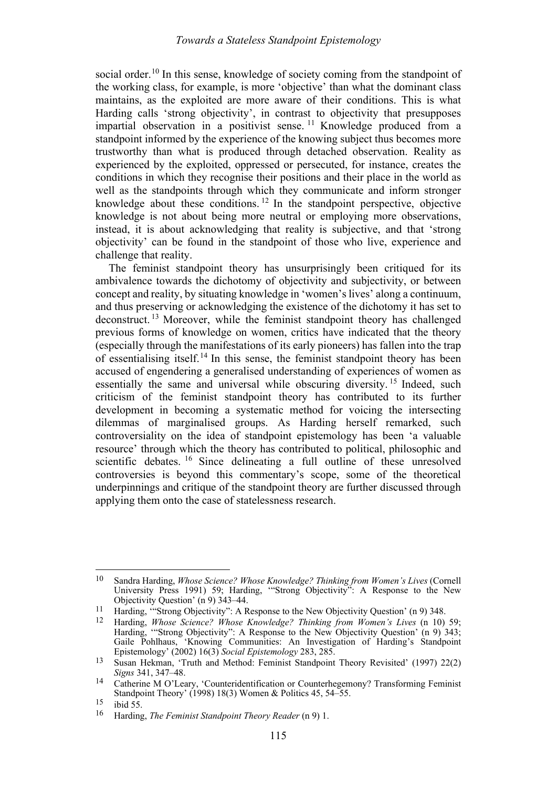social order.<sup>[10](#page-2-0)</sup> In this sense, knowledge of society coming from the standpoint of the working class, for example, is more 'objective' than what the dominant class maintains, as the exploited are more aware of their conditions. This is what Harding calls 'strong objectivity', in contrast to objectivity that presupposes impartial observation in a positivist sense.<sup>[11](#page-2-1)</sup> Knowledge produced from a standpoint informed by the experience of the knowing subject thus becomes more trustworthy than what is produced through detached observation. Reality as experienced by the exploited, oppressed or persecuted, for instance, creates the conditions in which they recognise their positions and their place in the world as well as the standpoints through which they communicate and inform stronger knowledge about these conditions.<sup>[12](#page-2-2)</sup> In the standpoint perspective, objective knowledge is not about being more neutral or employing more observations, instead, it is about acknowledging that reality is subjective, and that 'strong objectivity' can be found in the standpoint of those who live, experience and challenge that reality.

<span id="page-2-7"></span>The feminist standpoint theory has unsurprisingly been critiqued for its ambivalence towards the dichotomy of objectivity and subjectivity, or between concept and reality, by situating knowledge in 'women's lives' along a continuum, and thus preserving or acknowledging the existence of the dichotomy it has set to deconstruct. [13](#page-2-3) Moreover, while the feminist standpoint theory has challenged previous forms of knowledge on women, critics have indicated that the theory (especially through the manifestations of its early pioneers) has fallen into the trap of essentialising itself.<sup>[14](#page-2-4)</sup> In this sense, the feminist standpoint theory has been accused of engendering a generalised understanding of experiences of women as essentially the same and universal while obscuring diversity.<sup>[15](#page-2-5)</sup> Indeed, such criticism of the feminist standpoint theory has contributed to its further development in becoming a systematic method for voicing the intersecting dilemmas of marginalised groups. As Harding herself remarked, such controversiality on the idea of standpoint epistemology has been 'a valuable resource' through which the theory has contributed to political, philosophic and scientific debates. <sup>[16](#page-2-6)</sup> Since delineating a full outline of these unresolved controversies is beyond this commentary's scope, some of the theoretical underpinnings and critique of the standpoint theory are further discussed through applying them onto the case of statelessness research.

<span id="page-2-0"></span><sup>10</sup> Sandra Harding, *Whose Science? Whose Knowledge? Thinking from Women's Lives* (Cornell University Press 1991) 59; Harding, '"Strong Objectivity": A Response to the New Objectivity Question' (n [9\)](#page-1-6) 343–44.

<span id="page-2-2"></span><span id="page-2-1"></span><sup>&</sup>lt;sup>11</sup> Harding, "Strong Objectivity": A Response to the New Objectivity Question' ([n 9\)](#page-1-6) 348.<br><sup>12</sup> Harding, *Whose Science? Whose Knowledge? Thinking from Women's Lives* (n 10)

<sup>12</sup> Harding, *Whose Science? Whose Knowledge? Thinking from Women's Lives* (n 10) 59; Harding, "Strong Objectivity": A Response to the New Objectivity Question' (n [9\)](#page-1-6) 343; Gaile Pohlhaus, 'Knowing Communities: An Investigation of Harding's Standpoint Epistemology' (2002) 16(3) *Social Epistemology* 283, 285.

<span id="page-2-3"></span><sup>13</sup> Susan Hekman, 'Truth and Method: Feminist Standpoint Theory Revisited' (1997) 22(2) *Signs* 341, 347–48.

<span id="page-2-4"></span><sup>14</sup> Catherine M O'Leary, 'Counteridentification or Counterhegemony? Transforming Feminist Standpoint Theory' (1998) 18(3) Women & Politics 45, 54–55.

<span id="page-2-6"></span><span id="page-2-5"></span><sup>15</sup> ibid 55.<br><sup>16</sup> Harding, *The Feminist Standpoint Theory Reader* ([n 9\)](#page-1-6) 1.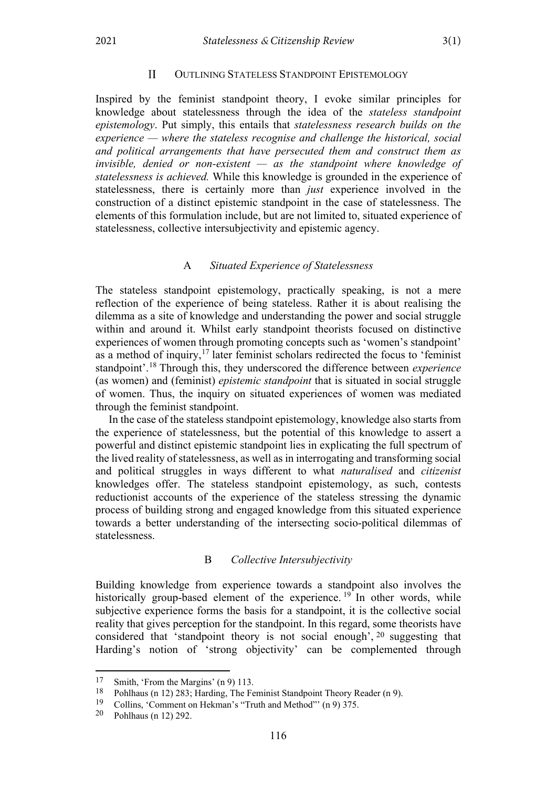#### $\mathbf{H}$ OUTLINING STATELESS STANDPOINT EPISTEMOLOGY

<span id="page-3-0"></span>Inspired by the feminist standpoint theory, I evoke similar principles for knowledge about statelessness through the idea of the *stateless standpoint epistemology*. Put simply, this entails that *statelessness research builds on the experience — where the stateless recognise and challenge the historical, social and political arrangements that have persecuted them and construct them as invisible, denied or non-existent — as the standpoint where knowledge of statelessness is achieved.* While this knowledge is grounded in the experience of statelessness, there is certainly more than *just* experience involved in the construction of a distinct epistemic standpoint in the case of statelessness. The elements of this formulation include, but are not limited to, situated experience of statelessness, collective intersubjectivity and epistemic agency.

#### A *Situated Experience of Statelessness*

<span id="page-3-1"></span>The stateless standpoint epistemology, practically speaking, is not a mere reflection of the experience of being stateless. Rather it is about realising the dilemma as a site of knowledge and understanding the power and social struggle within and around it. Whilst early standpoint theorists focused on distinctive experiences of women through promoting concepts such as 'women's standpoint' as a method of inquiry, $17$  later feminist scholars redirected the focus to 'feminist standpoint'.[18](#page-3-4) Through this, they underscored the difference between *experience* (as women) and (feminist) *epistemic standpoint* that is situated in social struggle of women. Thus, the inquiry on situated experiences of women was mediated through the feminist standpoint.

In the case of the stateless standpoint epistemology, knowledge also starts from the experience of statelessness, but the potential of this knowledge to assert a powerful and distinct epistemic standpoint lies in explicating the full spectrum of the lived reality of statelessness, as well as in interrogating and transforming social and political struggles in ways different to what *naturalised* and *citizenist*  knowledges offer. The stateless standpoint epistemology, as such, contests reductionist accounts of the experience of the stateless stressing the dynamic process of building strong and engaged knowledge from this situated experience towards a better understanding of the intersecting socio-political dilemmas of statelessness.

### B *Collective Intersubjectivity*

<span id="page-3-2"></span>Building knowledge from experience towards a standpoint also involves the historically group-based element of the experience.<sup>[19](#page-3-5)</sup> In other words, while subjective experience forms the basis for a standpoint, it is the collective social reality that gives perception for the standpoint. In this regard, some theorists have considered that 'standpoint theory is not social enough', [20](#page-3-6) suggesting that Harding's notion of 'strong objectivity' can be complemented through

<span id="page-3-3"></span><sup>&</sup>lt;sup>17</sup> Smith, 'From the Margins'  $(n 9)$  $(n 9)$  113.<br><sup>18</sup> Poblhaus (n 12) 283; Harding The Fe

<span id="page-3-4"></span><sup>&</sup>lt;sup>18</sup> Pohlhaus (n [12\)](#page-2-7) 283; Harding, The Feminist Standpoint Theory Reader (n [9\)](#page-1-6).<br><sup>19</sup> Collins: Comment on Hekman's "Truth and Method"' (n 9) 375

<span id="page-3-5"></span><sup>&</sup>lt;sup>19</sup> Collins, 'Comment on Hekman's "Truth and Method"' ([n 9\)](#page-1-6) 375.<br><sup>20</sup> Pohlhaus (n 12) 292

<span id="page-3-6"></span><sup>20</sup> Pohlhaus (n [12\)](#page-2-7) 292.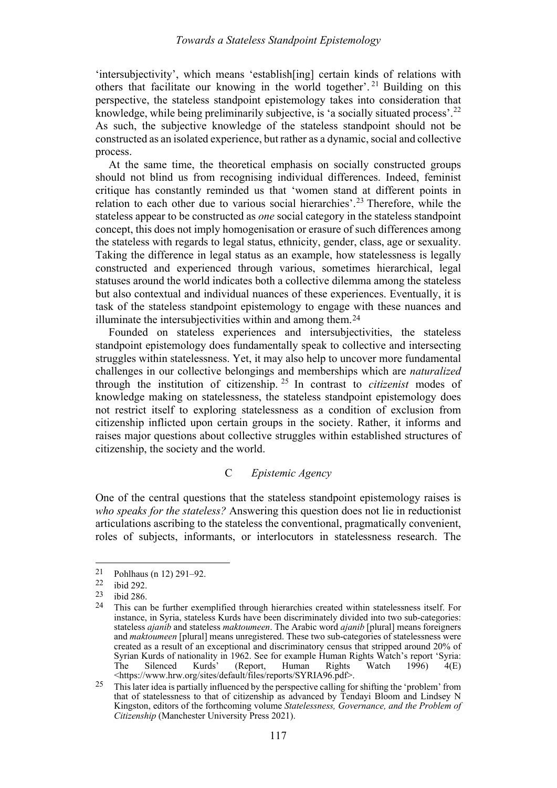'intersubjectivity', which means 'establish[ing] certain kinds of relations with others that facilitate our knowing in the world together'. [21](#page-4-1) Building on this perspective, the stateless standpoint epistemology takes into consideration that knowledge, while being preliminarily subjective, is 'a socially situated process'.[22](#page-4-2) As such, the subjective knowledge of the stateless standpoint should not be constructed as an isolated experience, but rather as a dynamic, social and collective process.

At the same time, the theoretical emphasis on socially constructed groups should not blind us from recognising individual differences. Indeed, feminist critique has constantly reminded us that 'women stand at different points in relation to each other due to various social hierarchies'.<sup>[23](#page-4-3)</sup> Therefore, while the stateless appear to be constructed as *one* social category in the stateless standpoint concept, this does not imply homogenisation or erasure of such differences among the stateless with regards to legal status, ethnicity, gender, class, age or sexuality. Taking the difference in legal status as an example, how statelessness is legally constructed and experienced through various, sometimes hierarchical, legal statuses around the world indicates both a collective dilemma among the stateless but also contextual and individual nuances of these experiences. Eventually, it is task of the stateless standpoint epistemology to engage with these nuances and illuminate the intersubjectivities within and among them.[24](#page-4-4)

Founded on stateless experiences and intersubjectivities, the stateless standpoint epistemology does fundamentally speak to collective and intersecting struggles within statelessness. Yet, it may also help to uncover more fundamental challenges in our collective belongings and memberships which are *naturalized*  through the institution of citizenship. [25](#page-4-5) In contrast to *citizenist* modes of knowledge making on statelessness, the stateless standpoint epistemology does not restrict itself to exploring statelessness as a condition of exclusion from citizenship inflicted upon certain groups in the society. Rather, it informs and raises major questions about collective struggles within established structures of citizenship, the society and the world.

### C *Epistemic Agency*

<span id="page-4-0"></span>One of the central questions that the stateless standpoint epistemology raises is *who speaks for the stateless?* Answering this question does not lie in reductionist articulations ascribing to the stateless the conventional, pragmatically convenient, roles of subjects, informants, or interlocutors in statelessness research. The

<span id="page-4-1"></span><sup>21</sup> Pohlhaus (n [12\)](#page-2-7) 291–92.<br>22 ibid 202

<span id="page-4-2"></span> $\frac{22}{23}$  ibid 292.

<span id="page-4-4"></span><span id="page-4-3"></span> $\frac{23}{24}$  ibid 286.

This can be further exemplified through hierarchies created within statelessness itself. For instance, in Syria, stateless Kurds have been discriminately divided into two sub-categories: stateless *ajanib* and stateless *maktoumeen*. The Arabic word *ajanib* [plural] means foreigners and *maktoumeen* [plural] means unregistered. These two sub-categories of statelessness were created as a result of an exceptional and discriminatory census that stripped around 20% of Syrian Kurds of nationality in 1962. See for example Human Rights Watch's report 'Syria:<br>The Silenced Kurds' (Report, Human Rights Watch 1996) 4(E) The Silenced Kurds' (Report, Human Rights Watch 1996) 4(E) <https://www.hrw.org/sites/default/files/reports/SYRIA96.pdf>.

<span id="page-4-5"></span><sup>&</sup>lt;sup>25</sup> This later idea is partially influenced by the perspective calling for shifting the 'problem' from that of statelessness to that of citizenship as advanced by Tendayi Bloom and Lindsey N Kingston, editors of the forthcoming volume *Statelessness, Governance, and the Problem of Citizenship* (Manchester University Press 2021).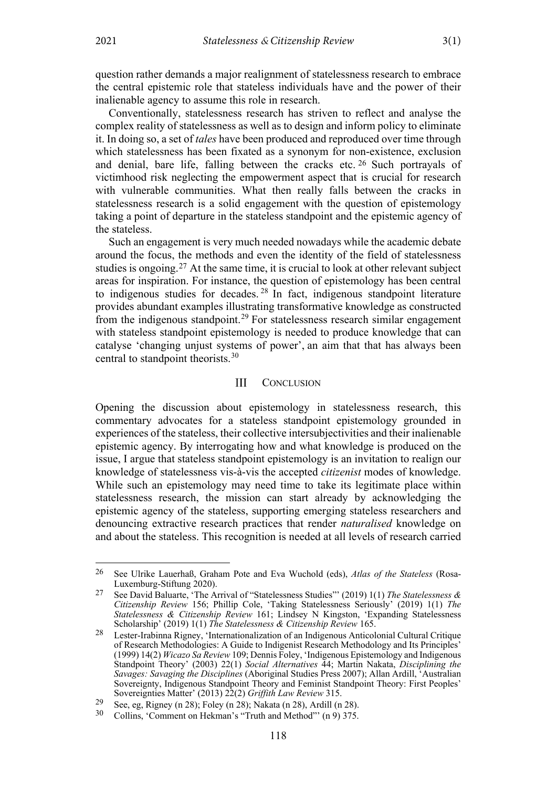question rather demands a major realignment of statelessness research to embrace the central epistemic role that stateless individuals have and the power of their inalienable agency to assume this role in research.

Conventionally, statelessness research has striven to reflect and analyse the complex reality of statelessness as well as to design and inform policy to eliminate it. In doing so, a set of *tales* have been produced and reproduced over time through which statelessness has been fixated as a synonym for non-existence, exclusion and denial, bare life, falling between the cracks etc. [26](#page-5-2) Such portrayals of victimhood risk neglecting the empowerment aspect that is crucial for research with vulnerable communities. What then really falls between the cracks in statelessness research is a solid engagement with the question of epistemology taking a point of departure in the stateless standpoint and the epistemic agency of the stateless.

Such an engagement is very much needed nowadays while the academic debate around the focus, the methods and even the identity of the field of statelessness studies is ongoing.[27](#page-5-3) At the same time, it is crucial to look at other relevant subject areas for inspiration. For instance, the question of epistemology has been central to indigenous studies for decades.<sup>[28](#page-5-4)</sup> In fact, indigenous standpoint literature provides abundant examples illustrating transformative knowledge as constructed from the indigenous standpoint.<sup>[29](#page-5-5)</sup> For statelessness research similar engagement with stateless standpoint epistemology is needed to produce knowledge that can catalyse 'changing unjust systems of power', an aim that that has always been central to standpoint theorists.[30](#page-5-6)

#### <span id="page-5-1"></span> $III$ **CONCLUSION**

<span id="page-5-0"></span>Opening the discussion about epistemology in statelessness research, this commentary advocates for a stateless standpoint epistemology grounded in experiences of the stateless, their collective intersubjectivities and their inalienable epistemic agency. By interrogating how and what knowledge is produced on the issue, I argue that stateless standpoint epistemology is an invitation to realign our knowledge of statelessness vis-à-vis the accepted *citizenist* modes of knowledge. While such an epistemology may need time to take its legitimate place within statelessness research, the mission can start already by acknowledging the epistemic agency of the stateless, supporting emerging stateless researchers and denouncing extractive research practices that render *naturalised* knowledge on and about the stateless. This recognition is needed at all levels of research carried

<span id="page-5-2"></span><sup>26</sup> See Ulrike Lauerhaß, Graham Pote and Eva Wuchold (eds), *Atlas of the Stateless* (Rosa-Luxemburg-Stiftung 2020).

<span id="page-5-3"></span><sup>27</sup> See David Baluarte, 'The Arrival of "Statelessness Studies"' (2019) 1(1) *The Statelessness & Citizenship Review* 156; Phillip Cole, 'Taking Statelessness Seriously' (2019) 1(1) *The Statelessness & Citizenship Review* 161; Lindsey N Kingston, 'Expanding Statelessness Scholarship' (2019) 1(1) *The Statelessness & Citizenship Review* 165.

<span id="page-5-4"></span><sup>&</sup>lt;sup>28</sup> Lester-Irabinna Rigney, 'Internationalization of an Indigenous Anticolonial Cultural Critique of Research Methodologies: A Guide to Indigenist Research Methodology and Its Principles' (1999) 14(2) *Wicazo Sa Review* 109; Dennis Foley, 'Indigenous Epistemology and Indigenous Standpoint Theory' (2003) 22(1) *Social Alternatives* 44; Martin Nakata, *Disciplining the Savages: Savaging the Disciplines* (Aboriginal Studies Press 2007); Allan Ardill, 'Australian Sovereignty, Indigenous Standpoint Theory and Feminist Standpoint Theory: First Peoples' Sovereignties Matter' (2013) 22(2) *Griffith Law Review* 315.

<span id="page-5-5"></span><sup>29</sup> See, eg, Rigney (n [28\)](#page-5-1); Foley ([n 28\)](#page-5-1); Nakata (n 28), Ardill (n 28).<br> $30\qquad \text{Celling}$ ; Comment on Helman's "Truth and Mathed"' (n 0) 275

<span id="page-5-6"></span>Collins, 'Comment on Hekman's "Truth and Method"' ([n 9\)](#page-1-6) 375.